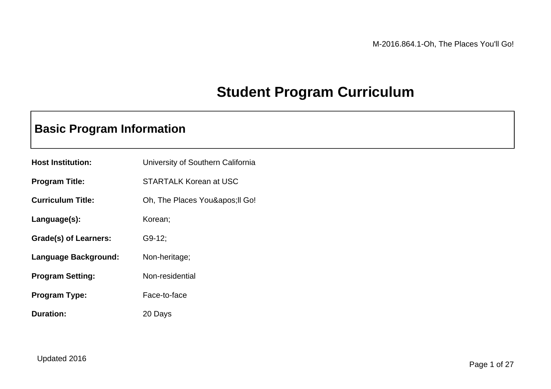## **Student Program Curriculum**

### **Basic Program Information**

| <b>Host Institution:</b> | University of Southern California |
|--------------------------|-----------------------------------|
| <b>Program Title:</b>    | <b>STARTALK Korean at USC</b>     |
| <b>Curriculum Title:</b> | Oh, The Places You' Il Go!        |
| Language(s):             | Korean;                           |
| Grade(s) of Learners:    | $G9-12$ ;                         |
| Language Background:     | Non-heritage;                     |
| <b>Program Setting:</b>  | Non-residential                   |
| <b>Program Type:</b>     | Face-to-face                      |
| <b>Duration:</b>         | 20 Days                           |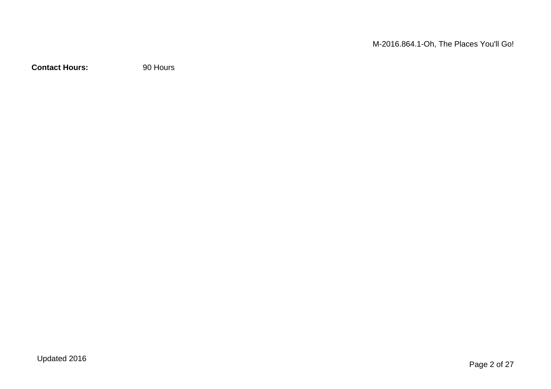M-2016.864.1-Oh, The Places You'll Go!

**Contact Hours:** 90 Hours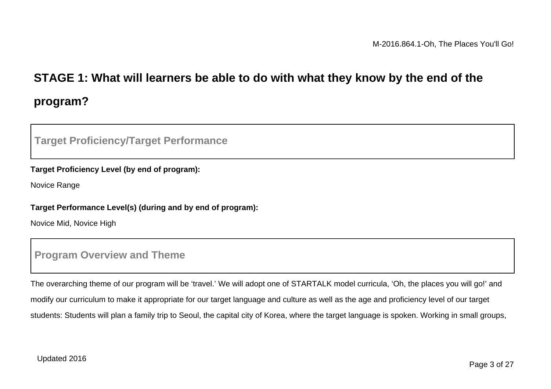# **STAGE 1: What will learners be able to do with what they know by the end of the program?**

#### **Target Proficiency/Target Performance**

#### **Target Proficiency Level (by end of program):**

Novice Range

#### **Target Performance Level(s) (during and by end of program):**

Novice Mid, Novice High

#### **Program Overview and Theme**

The overarching theme of our program will be 'travel.' We will adopt one of STARTALK model curricula, 'Oh, the places you will go!' and modify our curriculum to make it appropriate for our target language and culture as well as the age and proficiency level of our target students: Students will plan a family trip to Seoul, the capital city of Korea, where the target language is spoken. Working in small groups,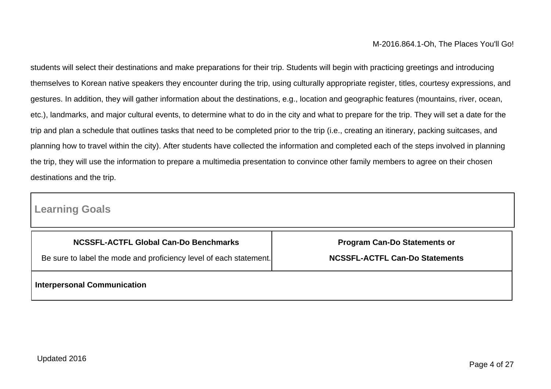students will select their destinations and make preparations for their trip. Students will begin with practicing greetings and introducing themselves to Korean native speakers they encounter during the trip, using culturally appropriate register, titles, courtesy expressions, and gestures. In addition, they will gather information about the destinations, e.g., location and geographic features (mountains, river, ocean, etc.), landmarks, and major cultural events, to determine what to do in the city and what to prepare for the trip. They will set a date for the trip and plan a schedule that outlines tasks that need to be completed prior to the trip (i.e., creating an itinerary, packing suitcases, and planning how to travel within the city). After students have collected the information and completed each of the steps involved in planning the trip, they will use the information to prepare a multimedia presentation to convince other family members to agree on their chosen destinations and the trip.

#### **Learning Goals**

| NCSSFL-ACTFL Global Can-Do Benchmarks                              | <b>Program Can-Do Statements or</b>   |  |
|--------------------------------------------------------------------|---------------------------------------|--|
| Be sure to label the mode and proficiency level of each statement. | <b>NCSSFL-ACTFL Can-Do Statements</b> |  |
| <b>Interpersonal Communication</b>                                 |                                       |  |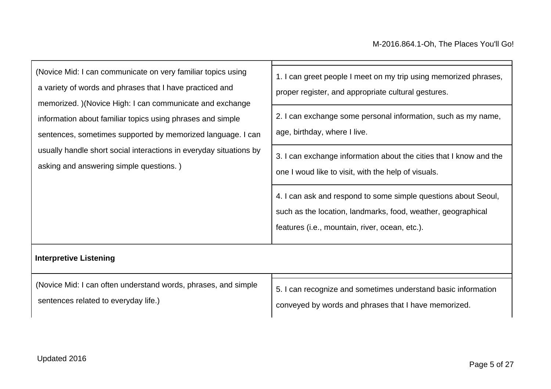| (Novice Mid: I can communicate on very familiar topics using<br>a variety of words and phrases that I have practiced and<br>memorized. )(Novice High: I can communicate and exchange<br>information about familiar topics using phrases and simple<br>sentences, sometimes supported by memorized language. I can<br>usually handle short social interactions in everyday situations by<br>asking and answering simple questions.) | 1. I can greet people I meet on my trip using memorized phrases,<br>proper register, and appropriate cultural gestures.<br>2. I can exchange some personal information, such as my name,<br>age, birthday, where I live.<br>3. I can exchange information about the cities that I know and the<br>one I woud like to visit, with the help of visuals. |  |                                                                                                                                                                                  |  |
|------------------------------------------------------------------------------------------------------------------------------------------------------------------------------------------------------------------------------------------------------------------------------------------------------------------------------------------------------------------------------------------------------------------------------------|-------------------------------------------------------------------------------------------------------------------------------------------------------------------------------------------------------------------------------------------------------------------------------------------------------------------------------------------------------|--|----------------------------------------------------------------------------------------------------------------------------------------------------------------------------------|--|
|                                                                                                                                                                                                                                                                                                                                                                                                                                    |                                                                                                                                                                                                                                                                                                                                                       |  | 4. I can ask and respond to some simple questions about Seoul,<br>such as the location, landmarks, food, weather, geographical<br>features (i.e., mountain, river, ocean, etc.). |  |
|                                                                                                                                                                                                                                                                                                                                                                                                                                    |                                                                                                                                                                                                                                                                                                                                                       |  |                                                                                                                                                                                  |  |

### **Interpretive Listening**

| (Novice Mid: I can often understand words, phrases, and simple | 5. I can recognize and sometimes understand basic information |
|----------------------------------------------------------------|---------------------------------------------------------------|
| sentences related to everyday life.)                           | conveyed by words and phrases that I have memorized.          |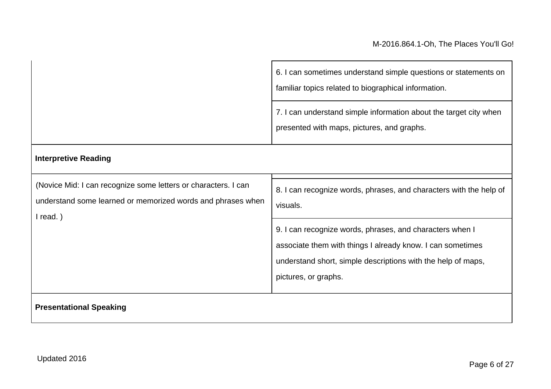|                                                                                                                                             | 6. I can sometimes understand simple questions or statements on<br>familiar topics related to biographical information.                                                                                        |
|---------------------------------------------------------------------------------------------------------------------------------------------|----------------------------------------------------------------------------------------------------------------------------------------------------------------------------------------------------------------|
|                                                                                                                                             | 7. I can understand simple information about the target city when<br>presented with maps, pictures, and graphs.                                                                                                |
| <b>Interpretive Reading</b>                                                                                                                 |                                                                                                                                                                                                                |
| (Novice Mid: I can recognize some letters or characters. I can<br>understand some learned or memorized words and phrases when<br>$l$ read.) | 8. I can recognize words, phrases, and characters with the help of<br>visuals.                                                                                                                                 |
|                                                                                                                                             | 9. I can recognize words, phrases, and characters when I<br>associate them with things I already know. I can sometimes<br>understand short, simple descriptions with the help of maps,<br>pictures, or graphs. |
| <b>Presentational Speaking</b>                                                                                                              |                                                                                                                                                                                                                |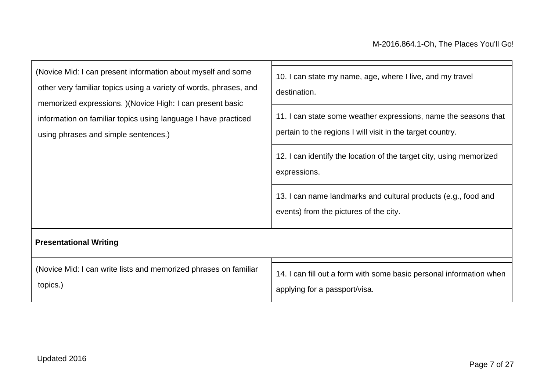| (Novice Mid: I can present information about myself and some<br>other very familiar topics using a variety of words, phrases, and                                    | 10. I can state my name, age, where I live, and my travel<br>destination.                                                     |  |
|----------------------------------------------------------------------------------------------------------------------------------------------------------------------|-------------------------------------------------------------------------------------------------------------------------------|--|
| memorized expressions. ) (Novice High: I can present basic<br>information on familiar topics using language I have practiced<br>using phrases and simple sentences.) | 11. I can state some weather expressions, name the seasons that<br>pertain to the regions I will visit in the target country. |  |
|                                                                                                                                                                      | 12. I can identify the location of the target city, using memorized<br>expressions.                                           |  |
|                                                                                                                                                                      | 13. I can name landmarks and cultural products (e.g., food and<br>events) from the pictures of the city.                      |  |
| <b>Presentational Writing</b>                                                                                                                                        |                                                                                                                               |  |
| (Novice Mid: I can write lists and memorized phrases on familiar<br>topics.)                                                                                         | 14. I can fill out a form with some basic personal information when<br>applying for a passport/visa.                          |  |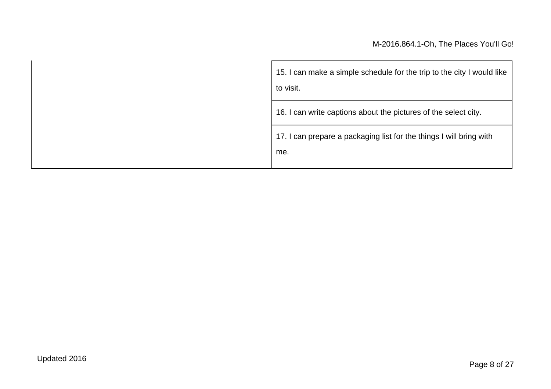| 15. I can make a simple schedule for the trip to the city I would like<br>to visit. |  |
|-------------------------------------------------------------------------------------|--|
| 16. I can write captions about the pictures of the select city.                     |  |
| 17. I can prepare a packaging list for the things I will bring with<br>me.          |  |
|                                                                                     |  |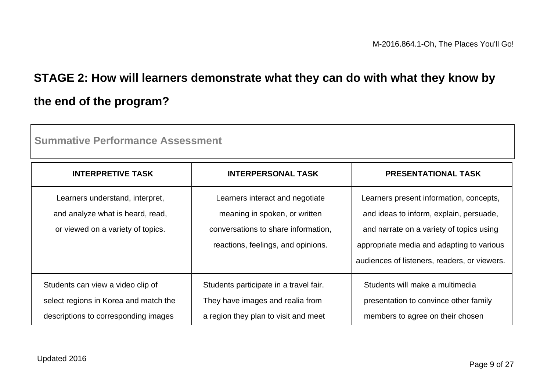# **STAGE 2: How will learners demonstrate what they can do with what they know by the end of the program?**

| <u>oullillauve Lelivi Illalive Assessilielit</u>                                                                   |                                                                                                                                               |                                                                                                                                                                                                                             |  |
|--------------------------------------------------------------------------------------------------------------------|-----------------------------------------------------------------------------------------------------------------------------------------------|-----------------------------------------------------------------------------------------------------------------------------------------------------------------------------------------------------------------------------|--|
| <b>INTERPRETIVE TASK</b>                                                                                           | <b>INTERPERSONAL TASK</b>                                                                                                                     | <b>PRESENTATIONAL TASK</b>                                                                                                                                                                                                  |  |
| Learners understand, interpret,<br>and analyze what is heard, read,<br>or viewed on a variety of topics.           | Learners interact and negotiate<br>meaning in spoken, or written<br>conversations to share information,<br>reactions, feelings, and opinions. | Learners present information, concepts,<br>and ideas to inform, explain, persuade,<br>and narrate on a variety of topics using<br>appropriate media and adapting to various<br>audiences of listeners, readers, or viewers. |  |
| Students can view a video clip of<br>select regions in Korea and match the<br>descriptions to corresponding images | Students participate in a travel fair.<br>They have images and realia from<br>a region they plan to visit and meet                            | Students will make a multimedia<br>presentation to convince other family<br>members to agree on their chosen                                                                                                                |  |

**Summative Performance Assessment**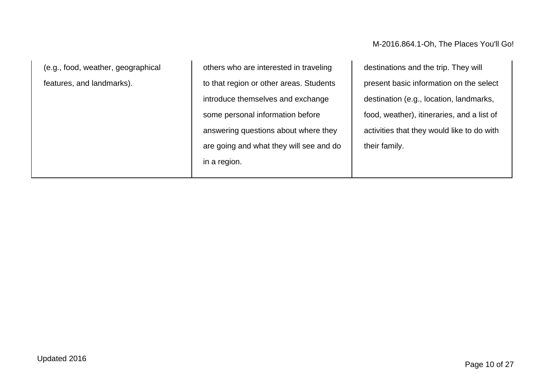(e.g., food, weather, geographical features, and landmarks).

others who are interested in traveling to that region or other areas. Students introduce themselves and exchange some personal information before answering questions about where they are going and what they will see and do in a region.

destinations and the trip. They will present basic information on the select destination (e.g., location, landmarks, food, weather), itineraries, and a list of activities that they would like to do with their family.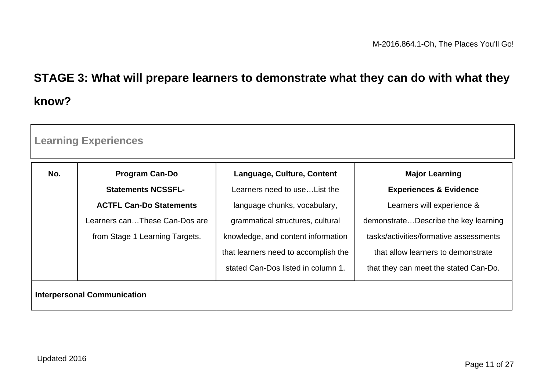# **STAGE 3: What will prepare learners to demonstrate what they can do with what they know?**

| No. | <b>Program Can-Do</b>          | Language, Culture, Content           | <b>Major Learning</b>                  |
|-----|--------------------------------|--------------------------------------|----------------------------------------|
|     | <b>Statements NCSSFL-</b>      | Learners need to use List the        | <b>Experiences &amp; Evidence</b>      |
|     | <b>ACTFL Can-Do Statements</b> | language chunks, vocabulary,         | Learners will experience &             |
|     | Learners canThese Can-Dos are  | grammatical structures, cultural     | demonstrateDescribe the key learning   |
|     | from Stage 1 Learning Targets. | knowledge, and content information   | tasks/activities/formative assessments |
|     |                                | that learners need to accomplish the | that allow learners to demonstrate     |
|     |                                | stated Can-Dos listed in column 1.   | that they can meet the stated Can-Do.  |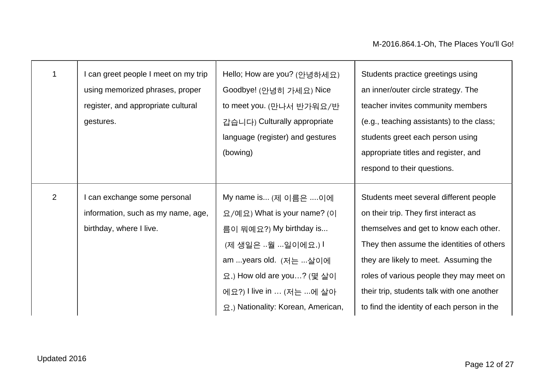|                | I can greet people I meet on my trip<br>using memorized phrases, proper<br>register, and appropriate cultural<br>gestures. | Hello; How are you? (안녕하세요)<br>Goodbye! (안녕히 가세요) Nice<br>to meet you. (만나서 반가워요/반<br>갑습니다) Culturally appropriate<br>language (register) and gestures<br>(bowing)                                                           | Students practice greetings using<br>an inner/outer circle strategy. The<br>teacher invites community members<br>(e.g., teaching assistants) to the class;<br>students greet each person using<br>appropriate titles and register, and<br>respond to their questions.                                                                                   |
|----------------|----------------------------------------------------------------------------------------------------------------------------|------------------------------------------------------------------------------------------------------------------------------------------------------------------------------------------------------------------------------|---------------------------------------------------------------------------------------------------------------------------------------------------------------------------------------------------------------------------------------------------------------------------------------------------------------------------------------------------------|
| $\overline{2}$ | I can exchange some personal<br>information, such as my name, age,<br>birthday, where I live.                              | My name is (제 이름은 이에<br>요/예요) What is your name? (이<br>름이 뭐예요?) My birthday is<br>(제 생일은 월 일이에요.) l<br>am years old. (저는 살이에<br>요.) How old are you? (몇 살이<br>에요?) I live in  (저는 에 살아<br>요.) Nationality: Korean, American, | Students meet several different people<br>on their trip. They first interact as<br>themselves and get to know each other.<br>They then assume the identities of others<br>they are likely to meet. Assuming the<br>roles of various people they may meet on<br>their trip, students talk with one another<br>to find the identity of each person in the |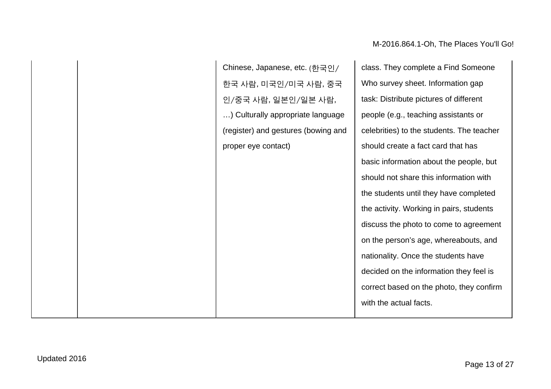|  | Chinese, Japanese, etc. (한국인/       | class. They complete a Find Someone       |
|--|-------------------------------------|-------------------------------------------|
|  | 한국 사람, 미국인/미국 사람, 중국                | Who survey sheet. Information gap         |
|  | 인/중국 사람, 일본인/일본 사람,                 | task: Distribute pictures of different    |
|  | ) Culturally appropriate language   | people (e.g., teaching assistants or      |
|  | (register) and gestures (bowing and | celebrities) to the students. The teacher |
|  | proper eye contact)                 | should create a fact card that has        |
|  |                                     | basic information about the people, but   |
|  |                                     | should not share this information with    |
|  |                                     | the students until they have completed    |
|  |                                     | the activity. Working in pairs, students  |
|  |                                     | discuss the photo to come to agreement    |
|  |                                     | on the person's age, whereabouts, and     |
|  |                                     | nationality. Once the students have       |
|  |                                     | decided on the information they feel is   |
|  |                                     | correct based on the photo, they confirm  |
|  |                                     | with the actual facts.                    |
|  |                                     |                                           |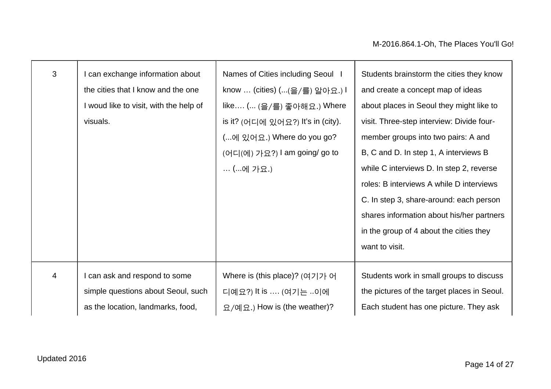| 3              | I can exchange information about       | Names of Cities including Seoul   | Students brainstorm the cities they know    |
|----------------|----------------------------------------|-----------------------------------|---------------------------------------------|
|                | the cities that I know and the one     | know  (cities) ((을/를) 알아요.) l     | and create a concept map of ideas           |
|                | I woud like to visit, with the help of | like ( (을/를) 좋아해요.) Where         | about places in Seoul they might like to    |
|                | visuals.                               | is it? (어디에 있어요?) It's in (city). | visit. Three-step interview: Divide four-   |
|                |                                        | (에 있어요.) Where do you go?         | member groups into two pairs: A and         |
|                |                                        | (어디(에) 가요?) I am going/ go to     | B, C and D. In step 1, A interviews B       |
|                |                                        | (에 가요.)                           | while C interviews D. In step 2, reverse    |
|                |                                        |                                   | roles: B interviews A while D interviews    |
|                |                                        |                                   | C. In step 3, share-around: each person     |
|                |                                        |                                   | shares information about his/her partners   |
|                |                                        |                                   | in the group of 4 about the cities they     |
|                |                                        |                                   | want to visit.                              |
|                |                                        |                                   |                                             |
| $\overline{4}$ | I can ask and respond to some          | Where is (this place)? (여기가 어     | Students work in small groups to discuss    |
|                | simple questions about Seoul, such     | 디예요?) It is  (여기는 이에              | the pictures of the target places in Seoul. |
|                | as the location, landmarks, food,      | 요/예요.) How is (the weather)?      | Each student has one picture. They ask      |
|                |                                        |                                   |                                             |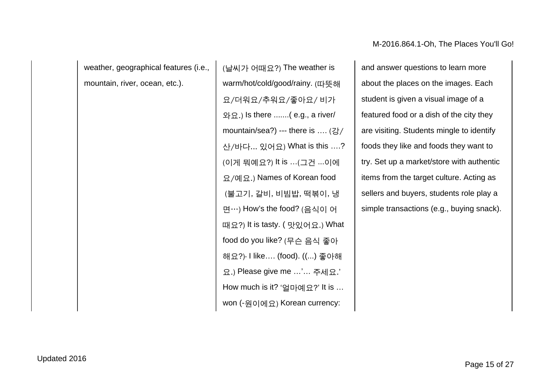M-2016.864.1-Oh, The Places You'll Go!

weather, geographical features (i.e., mountain, river, ocean, etc.).

(날씨가 어때요?) The weather is warm/hot/cold/good/rainy. (따뜻해 요/더워요/추워요/좋아요/ 비가 와요.) Is there .......( e.g., a river/ mountain/sea?) --- there is .... (강/ 산/바다... 있어요) What is this ….? (이게 뭐예요?) It is …(그건 ...이에 요/예요.) Names of Korean food (불고기, 갈비, 비빔밥, 떡볶이, 냉 면…) How's the food? (음식이 어 때요?) It is tasty. ( 맛있어요.) What food do you like? (무슨 음식 좋아 해요?)- I like…. (food). ((...) 좋아해 요.) Please give me …'… 주세요.' How much is it? '얼마예요?' It is … won (-원이에요) Korean currency:

and answer questions to learn more about the places on the images. Each student is given a visual image of a featured food or a dish of the city they are visiting. Students mingle to identify foods they like and foods they want to try. Set up a market/store with authentic items from the target culture. Acting as sellers and buyers, students role play a simple transactions (e.g., buying snack).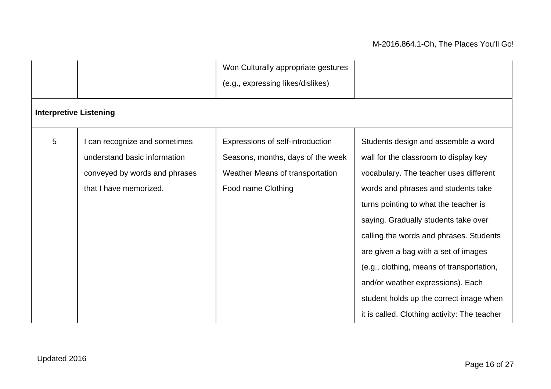### M-2016.864.1-Oh, The Places You'll Go!

|                               |                                                                                                                        | Won Culturally appropriate gestures<br>(e.g., expressing likes/dislikes)                                                       |                                                                                                                                                                                                                                                                                                                                                                                                                                                                                                                |
|-------------------------------|------------------------------------------------------------------------------------------------------------------------|--------------------------------------------------------------------------------------------------------------------------------|----------------------------------------------------------------------------------------------------------------------------------------------------------------------------------------------------------------------------------------------------------------------------------------------------------------------------------------------------------------------------------------------------------------------------------------------------------------------------------------------------------------|
| <b>Interpretive Listening</b> |                                                                                                                        |                                                                                                                                |                                                                                                                                                                                                                                                                                                                                                                                                                                                                                                                |
| 5                             | can recognize and sometimes<br>understand basic information<br>conveyed by words and phrases<br>that I have memorized. | Expressions of self-introduction<br>Seasons, months, days of the week<br>Weather Means of transportation<br>Food name Clothing | Students design and assemble a word<br>wall for the classroom to display key<br>vocabulary. The teacher uses different<br>words and phrases and students take<br>turns pointing to what the teacher is<br>saying. Gradually students take over<br>calling the words and phrases. Students<br>are given a bag with a set of images<br>(e.g., clothing, means of transportation,<br>and/or weather expressions). Each<br>student holds up the correct image when<br>it is called. Clothing activity: The teacher |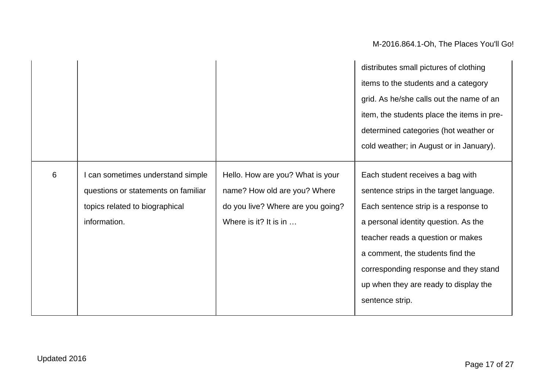|   |                                                                                                                          |                                                                                                                                | distributes small pictures of clothing                                                                                                                                                                                                                                                                                 |
|---|--------------------------------------------------------------------------------------------------------------------------|--------------------------------------------------------------------------------------------------------------------------------|------------------------------------------------------------------------------------------------------------------------------------------------------------------------------------------------------------------------------------------------------------------------------------------------------------------------|
|   |                                                                                                                          |                                                                                                                                | items to the students and a category                                                                                                                                                                                                                                                                                   |
|   |                                                                                                                          |                                                                                                                                | grid. As he/she calls out the name of an                                                                                                                                                                                                                                                                               |
|   |                                                                                                                          |                                                                                                                                | item, the students place the items in pre-                                                                                                                                                                                                                                                                             |
|   |                                                                                                                          |                                                                                                                                | determined categories (hot weather or                                                                                                                                                                                                                                                                                  |
|   |                                                                                                                          |                                                                                                                                | cold weather; in August or in January).                                                                                                                                                                                                                                                                                |
| 6 | can sometimes understand simple<br>questions or statements on familiar<br>topics related to biographical<br>information. | Hello. How are you? What is your<br>name? How old are you? Where<br>do you live? Where are you going?<br>Where is it? It is in | Each student receives a bag with<br>sentence strips in the target language.<br>Each sentence strip is a response to<br>a personal identity question. As the<br>teacher reads a question or makes<br>a comment, the students find the<br>corresponding response and they stand<br>up when they are ready to display the |
|   |                                                                                                                          |                                                                                                                                | sentence strip.                                                                                                                                                                                                                                                                                                        |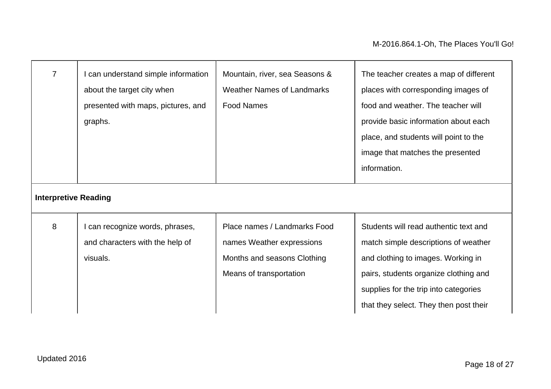| $\overline{7}$              | I can understand simple information<br>about the target city when<br>presented with maps, pictures, and<br>graphs. | Mountain, river, sea Seasons &<br><b>Weather Names of Landmarks</b><br><b>Food Names</b>                            | The teacher creates a map of different<br>places with corresponding images of<br>food and weather. The teacher will<br>provide basic information about each<br>place, and students will point to the<br>image that matches the presented<br>information. |
|-----------------------------|--------------------------------------------------------------------------------------------------------------------|---------------------------------------------------------------------------------------------------------------------|----------------------------------------------------------------------------------------------------------------------------------------------------------------------------------------------------------------------------------------------------------|
| <b>Interpretive Reading</b> |                                                                                                                    |                                                                                                                     |                                                                                                                                                                                                                                                          |
| 8                           | I can recognize words, phrases,<br>and characters with the help of<br>visuals.                                     | Place names / Landmarks Food<br>names Weather expressions<br>Months and seasons Clothing<br>Means of transportation | Students will read authentic text and<br>match simple descriptions of weather<br>and clothing to images. Working in<br>pairs, students organize clothing and<br>supplies for the trip into categories<br>that they select. They then post their          |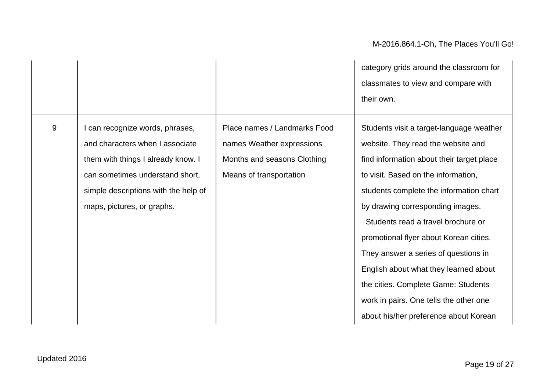9 | I can recognize words, phrases, and characters when I associate them with things I already know. I can sometimes understand short, simple descriptions with the help of maps, pictures, or graphs.

Place names / Landmarks Food names Weather expressions Months and seasons Clothing Means of transportation

category grids around the classroom for classmates to view and compare with their own.

Students visit a target-language weather website. They read the website and find information about their target place to visit. Based on the information, students complete the information chart by drawing corresponding images. Students read a travel brochure or promotional flyer about Korean cities. They answer a series of questions in English about what they learned about the cities. Complete Game: Students work in pairs. One tells the other one about his/her preference about Korean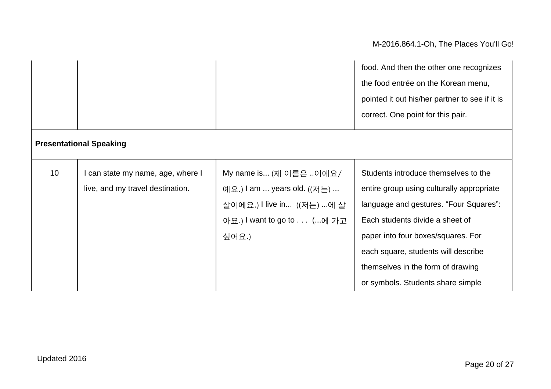|                 |                                  |                             | food. And then the other one recognizes<br>the food entrée on the Korean menu,<br>pointed it out his/her partner to see if it is |
|-----------------|----------------------------------|-----------------------------|----------------------------------------------------------------------------------------------------------------------------------|
|                 |                                  |                             | correct. One point for this pair.                                                                                                |
|                 | <b>Presentational Speaking</b>   |                             |                                                                                                                                  |
| 10 <sup>°</sup> | can state my name, age, where I  | My name is (제 이름은 이에요/      | Students introduce themselves to the                                                                                             |
|                 | live, and my travel destination. | 예요.) I am  years old. ((저는) | entire group using culturally appropriate                                                                                        |
|                 |                                  | 살이에요.) I live in ((저는) 에 살  | language and gestures. "Four Squares":                                                                                           |
|                 |                                  | 아요.) I want to go to (에 가고  | Each students divide a sheet of                                                                                                  |
|                 |                                  | 싶어요.)                       | paper into four boxes/squares. For                                                                                               |
|                 |                                  |                             | each square, students will describe                                                                                              |
|                 |                                  |                             | themselves in the form of drawing                                                                                                |
|                 |                                  |                             | or symbols. Students share simple                                                                                                |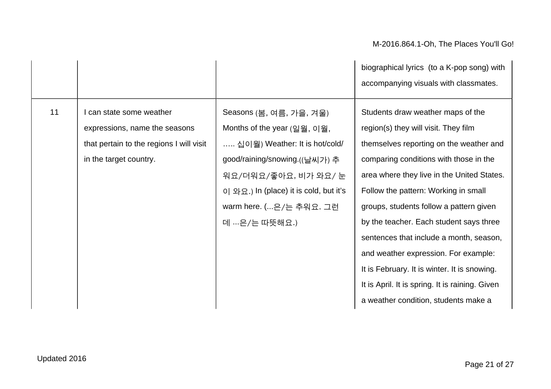|    |                                                                                                                                 |                                                                                                                                                                                                                                       | biographical lyrics (to a K-pop song) with<br>accompanying visuals with classmates.                                                                                                                                                                                                                                                                                                                                                                                                                                                                                      |
|----|---------------------------------------------------------------------------------------------------------------------------------|---------------------------------------------------------------------------------------------------------------------------------------------------------------------------------------------------------------------------------------|--------------------------------------------------------------------------------------------------------------------------------------------------------------------------------------------------------------------------------------------------------------------------------------------------------------------------------------------------------------------------------------------------------------------------------------------------------------------------------------------------------------------------------------------------------------------------|
| 11 | I can state some weather<br>expressions, name the seasons<br>that pertain to the regions I will visit<br>in the target country. | Seasons (봄, 여름, 가을, 겨울)<br>Months of the year (일월, 이월,<br>십이월) Weather: It is hot/cold/<br>good/raining/snowing.((날씨가) 추<br>워요/더워요/좋아요, 비가 와요/ 눈<br>이 와요.) In (place) it is cold, but it's<br>warm here. (은/는 추워요. 그런<br>데 은/는 따뜻해요.) | Students draw weather maps of the<br>region(s) they will visit. They film<br>themselves reporting on the weather and<br>comparing conditions with those in the<br>area where they live in the United States.<br>Follow the pattern: Working in small<br>groups, students follow a pattern given<br>by the teacher. Each student says three<br>sentences that include a month, season,<br>and weather expression. For example:<br>It is February. It is winter. It is snowing.<br>It is April. It is spring. It is raining. Given<br>a weather condition, students make a |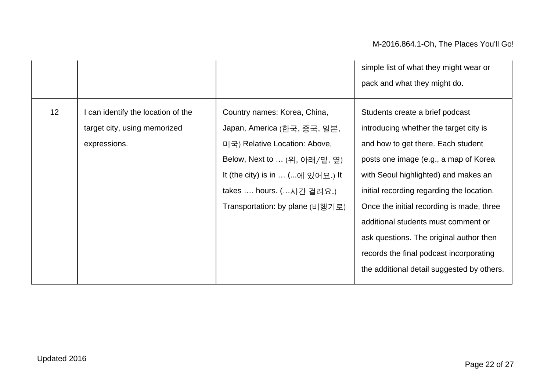|    |                                                                                    |                                                                                                                                                                                                                                | simple list of what they might wear or<br>pack and what they might do.                                                                                                                                                                                                                                                                                                                                                                                                |
|----|------------------------------------------------------------------------------------|--------------------------------------------------------------------------------------------------------------------------------------------------------------------------------------------------------------------------------|-----------------------------------------------------------------------------------------------------------------------------------------------------------------------------------------------------------------------------------------------------------------------------------------------------------------------------------------------------------------------------------------------------------------------------------------------------------------------|
| 12 | I can identify the location of the<br>target city, using memorized<br>expressions. | Country names: Korea, China,<br>Japan, America (한국, 중국, 일본,<br>미국) Relative Location: Above,<br>Below, Next to  (위, 아래/밑, 옆)<br>It (the city) is in  (에 있어요.) It<br>takes  hours. (시간 걸려요.)<br>Transportation: by plane (비행기로) | Students create a brief podcast<br>introducing whether the target city is<br>and how to get there. Each student<br>posts one image (e.g., a map of Korea<br>with Seoul highlighted) and makes an<br>initial recording regarding the location.<br>Once the initial recording is made, three<br>additional students must comment or<br>ask questions. The original author then<br>records the final podcast incorporating<br>the additional detail suggested by others. |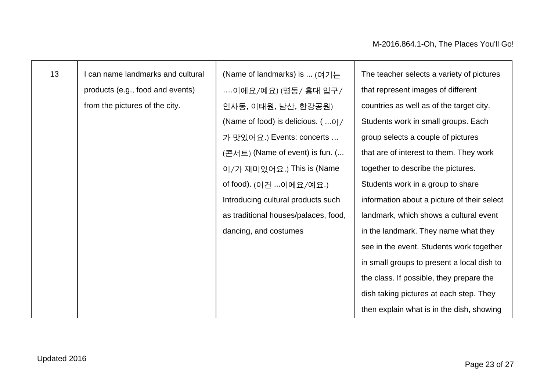| 13 | I can name landmarks and cultural | (Name of landmarks) is  (여기는                       | The teacher selects a variety of pictures   |
|----|-----------------------------------|----------------------------------------------------|---------------------------------------------|
|    | products (e.g., food and events)  | 이에요/예요) (명동/ 홍대 입구/                                | that represent images of different          |
|    | from the pictures of the city.    | 인사동, 이태원, 남산, 한강공원)                                | countries as well as of the target city.    |
|    |                                   | (Name of food) is delicious. $( \ldots 0 \mid / )$ | Students work in small groups. Each         |
|    |                                   | 가 맛있어요.) Events: concerts                          | group selects a couple of pictures          |
|    |                                   | (콘서트) (Name of event) is fun. (                    | that are of interest to them. They work     |
|    |                                   | 이/가 재미있어요.) This is (Name                          | together to describe the pictures.          |
|    |                                   | of food). (이건 이에요/예요.)                             | Students work in a group to share           |
|    |                                   | Introducing cultural products such                 | information about a picture of their select |
|    |                                   | as traditional houses/palaces, food,               | landmark, which shows a cultural event      |
|    |                                   | dancing, and costumes                              | in the landmark. They name what they        |
|    |                                   |                                                    | see in the event. Students work together    |
|    |                                   |                                                    | in small groups to present a local dish to  |
|    |                                   |                                                    | the class. If possible, they prepare the    |
|    |                                   |                                                    | dish taking pictures at each step. They     |
|    |                                   |                                                    | then explain what is in the dish, showing   |
|    |                                   |                                                    |                                             |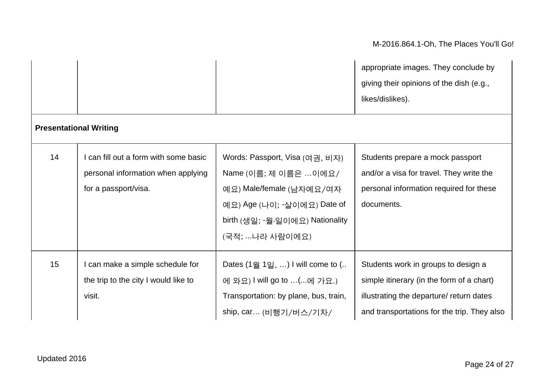|    |                                                                                                     |                                                                                                                                                                        | appropriate images. They conclude by<br>giving their opinions of the dish (e.g.,<br>likes/dislikes).                                                                        |
|----|-----------------------------------------------------------------------------------------------------|------------------------------------------------------------------------------------------------------------------------------------------------------------------------|-----------------------------------------------------------------------------------------------------------------------------------------------------------------------------|
|    | <b>Presentational Writing</b>                                                                       |                                                                                                                                                                        |                                                                                                                                                                             |
| 14 | I can fill out a form with some basic<br>personal information when applying<br>for a passport/visa. | Words: Passport, Visa (여권, 비자)<br>Name (이름; 제 이름은 이에요/<br>예요) Male/female (남자예요/여자<br>예요) Age (나이; -살이에요) Date of<br>birth (생일; -월-일이에요) Nationality<br>(국적; 나라 사람이에요) | Students prepare a mock passport<br>and/or a visa for travel. They write the<br>personal information required for these<br>documents.                                       |
| 15 | I can make a simple schedule for<br>the trip to the city I would like to<br>visit.                  | Dates $(1\frac{31}{2},)$ I will come to $($<br>에 와요) I will go to (에 가요.)<br>Transportation: by plane, bus, train,<br>ship, car (비행기/버스/기차/                            | Students work in groups to design a<br>simple itinerary (in the form of a chart)<br>illustrating the departure/ return dates<br>and transportations for the trip. They also |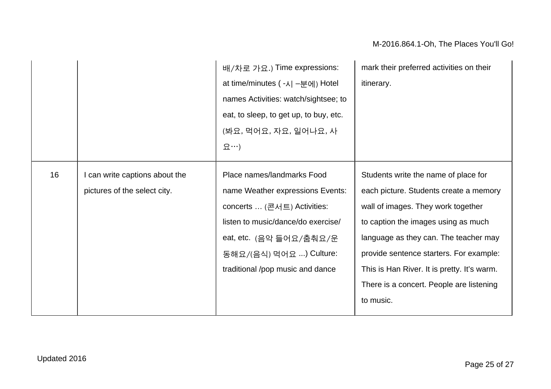|    |                                | 배/차로 가요.) Time expressions:            | mark their preferred activities on their    |
|----|--------------------------------|----------------------------------------|---------------------------------------------|
|    |                                | at time/minutes ( - 시 - 분에) Hotel      | itinerary.                                  |
|    |                                | names Activities: watch/sightsee; to   |                                             |
|    |                                | eat, to sleep, to get up, to buy, etc. |                                             |
|    |                                | (봐요, 먹어요, 자요, 일어나요, 사                  |                                             |
|    |                                | 요…)                                    |                                             |
| 16 | I can write captions about the | Place names/landmarks Food             | Students write the name of place for        |
|    | pictures of the select city.   | name Weather expressions Events:       | each picture. Students create a memory      |
|    |                                | concerts  (콘서트) Activities:            | wall of images. They work together          |
|    |                                | listen to music/dance/do exercise/     | to caption the images using as much         |
|    |                                | eat, etc. (음악 들어요/춤춰요/운                | language as they can. The teacher may       |
|    |                                | 동해요/(음식) 먹어요 ) Culture:                | provide sentence starters. For example:     |
|    |                                | traditional /pop music and dance       | This is Han River. It is pretty. It's warm. |
|    |                                |                                        | There is a concert. People are listening    |
|    |                                |                                        | to music.                                   |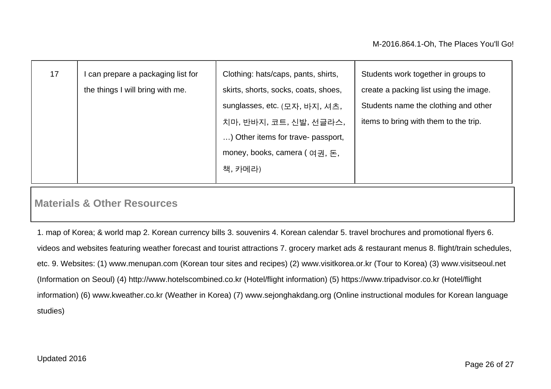| 17 | I can prepare a packaging list for<br>the things I will bring with me. | Clothing: hats/caps, pants, shirts,<br>skirts, shorts, socks, coats, shoes,<br>sunglasses, etc. (모자, 바지, 셔츠, | Students work together in groups to<br>create a packing list using the image.<br>Students name the clothing and other |
|----|------------------------------------------------------------------------|--------------------------------------------------------------------------------------------------------------|-----------------------------------------------------------------------------------------------------------------------|
|    |                                                                        | 치마, 반바지, 코트, 신발, 선글라스,<br>) Other items for trave- passport,                                                 | items to bring with them to the trip.                                                                                 |
|    |                                                                        | money, books, camera (여권, 돈,<br>책, 카메라)                                                                      |                                                                                                                       |

### **Materials & Other Resources**

1. map of Korea; & world map 2. Korean currency bills 3. souvenirs 4. Korean calendar 5. travel brochures and promotional flyers 6. videos and websites featuring weather forecast and tourist attractions 7. grocery market ads & restaurant menus 8. flight/train schedules, etc. 9. Websites: (1) www.menupan.com (Korean tour sites and recipes) (2) www.visitkorea.or.kr (Tour to Korea) (3) www.visitseoul.net (Information on Seoul) (4) http://www.hotelscombined.co.kr (Hotel/flight information) (5) https://www.tripadvisor.co.kr (Hotel/flight information) (6) www.kweather.co.kr (Weather in Korea) (7) www.sejonghakdang.org (Online instructional modules for Korean language studies)